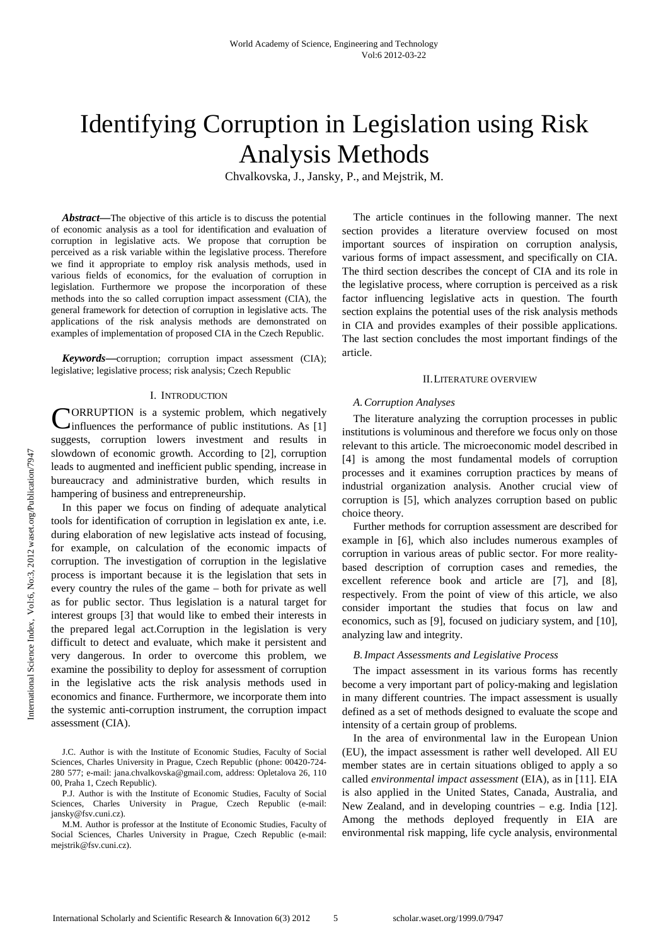# Identifying Corruption in Legislation using Risk Analysis Methods

Chvalkovska, J., Jansky, P., and Mejstrik, M.

*Abstract***—**The objective of this article is to discuss the potential of economic analysis as a tool for identification and evaluation of corruption in legislative acts. We propose that corruption be perceived as a risk variable within the legislative process. Therefore we find it appropriate to employ risk analysis methods, used in various fields of economics, for the evaluation of corruption in legislation. Furthermore we propose the incorporation of these methods into the so called corruption impact assessment (CIA), the general framework for detection of corruption in legislative acts. The applications of the risk analysis methods are demonstrated on examples of implementation of proposed CIA in the Czech Republic.

*Keywords***—**corruption; corruption impact assessment (CIA); legislative; legislative process; risk analysis; Czech Republic

#### I. INTRODUCTION

ORRUPTION is a systemic problem, which negatively CORRUPTION is a systemic problem, which negatively influences the performance of public institutions. As [1] suggests, corruption lowers investment and results in slowdown of economic growth. According to [2], corruption leads to augmented and inefficient public spending, increase in bureaucracy and administrative burden, which results in hampering of business and entrepreneurship.

 In this paper we focus on finding of adequate analytical tools for identification of corruption in legislation ex ante, i.e. during elaboration of new legislative acts instead of focusing, for example, on calculation of the economic impacts of corruption. The investigation of corruption in the legislative process is important because it is the legislation that sets in every country the rules of the game – both for private as well as for public sector. Thus legislation is a natural target for interest groups [3] that would like to embed their interests in the prepared legal act.Corruption in the legislation is very difficult to detect and evaluate, which make it persistent and very dangerous. In order to overcome this problem, we examine the possibility to deploy for assessment of corruption in the legislative acts the risk analysis methods used in economics and finance. Furthermore, we incorporate them into the systemic anti-corruption instrument, the corruption impact assessment (CIA).

J.C. Author is with the Institute of Economic Studies, Faculty of Social Sciences, Charles University in Prague, Czech Republic (phone: 00420-724- 280 577; e-mail: jana.chvalkovska@gmail.com, address: Opletalova 26, 110 00, Praha 1, Czech Republic).

P.J. Author is with the Institute of Economic Studies, Faculty of Social Sciences, Charles University in Prague, Czech Republic (e-mail: jansky@fsv.cuni.cz).

M.M. Author is professor at the Institute of Economic Studies, Faculty of Social Sciences, Charles University in Prague, Czech Republic (e-mail: mejstrik@fsv.cuni.cz).

The article continues in the following manner. The next section provides a literature overview focused on most important sources of inspiration on corruption analysis, various forms of impact assessment, and specifically on CIA. The third section describes the concept of CIA and its role in the legislative process, where corruption is perceived as a risk factor influencing legislative acts in question. The fourth section explains the potential uses of the risk analysis methods in CIA and provides examples of their possible applications. The last section concludes the most important findings of the article.

#### II.LITERATURE OVERVIEW

#### *A.Corruption Analyses*

The literature analyzing the corruption processes in public institutions is voluminous and therefore we focus only on those relevant to this article. The microeconomic model described in [4] is among the most fundamental models of corruption processes and it examines corruption practices by means of industrial organization analysis. Another crucial view of corruption is [5], which analyzes corruption based on public choice theory.

Further methods for corruption assessment are described for example in [6], which also includes numerous examples of corruption in various areas of public sector. For more realitybased description of corruption cases and remedies, the excellent reference book and article are [7], and [8], respectively. From the point of view of this article, we also consider important the studies that focus on law and economics, such as [9], focused on judiciary system, and [10], analyzing law and integrity.

#### *B.Impact Assessments and Legislative Process*

The impact assessment in its various forms has recently become a very important part of policy-making and legislation in many different countries. The impact assessment is usually defined as a set of methods designed to evaluate the scope and intensity of a certain group of problems.

In the area of environmental law in the European Union (EU), the impact assessment is rather well developed. All EU member states are in certain situations obliged to apply a so called *environmental impact assessment* (EIA), as in [11]. EIA is also applied in the United States, Canada, Australia, and New Zealand, and in developing countries – e.g. India [12]. Among the methods deployed frequently in EIA are environmental risk mapping, life cycle analysis, environmental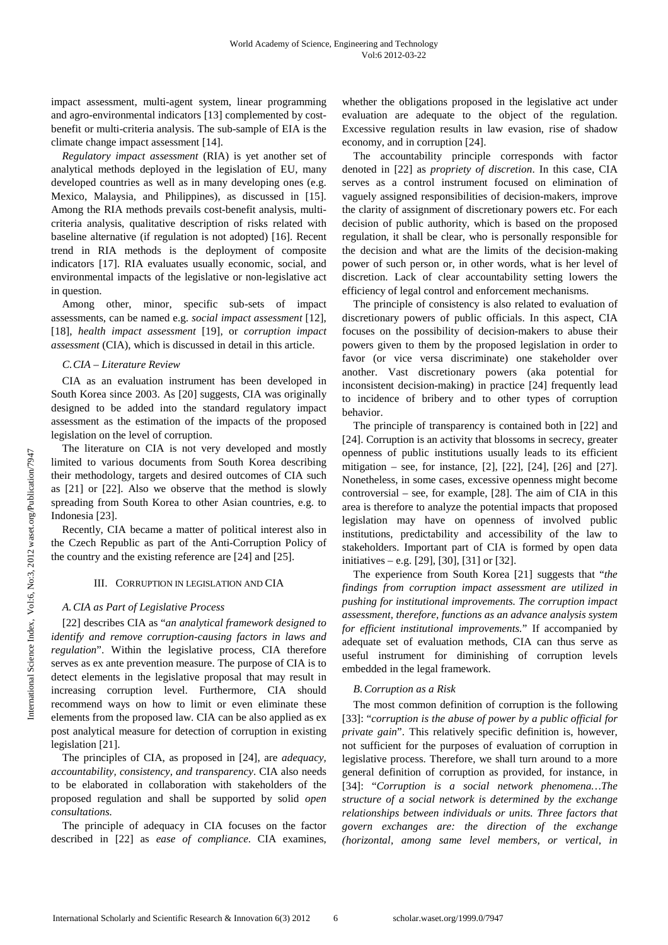impact assessment, multi-agent system, linear programming and agro-environmental indicators [13] complemented by costbenefit or multi-criteria analysis. The sub-sample of EIA is the climate change impact assessment [14].

*Regulatory impact assessment* (RIA) is yet another set of analytical methods deployed in the legislation of EU, many developed countries as well as in many developing ones (e.g. Mexico, Malaysia, and Philippines), as discussed in [15]. Among the RIA methods prevails cost-benefit analysis, multicriteria analysis, qualitative description of risks related with baseline alternative (if regulation is not adopted) [16]. Recent trend in RIA methods is the deployment of composite indicators [17]. RIA evaluates usually economic, social, and environmental impacts of the legislative or non-legislative act in question.

Among other, minor, specific sub-sets of impact assessments, can be named e.g. *social impact assessment* [12], [18], *health impact assessment* [19], or *corruption impact assessment* (CIA), which is discussed in detail in this article.

# *C.CIA – Literature Review*

CIA as an evaluation instrument has been developed in South Korea since 2003. As [20] suggests, CIA was originally designed to be added into the standard regulatory impact assessment as the estimation of the impacts of the proposed legislation on the level of corruption.

The literature on CIA is not very developed and mostly limited to various documents from South Korea describing their methodology, targets and desired outcomes of CIA such as [21] or [22]. Also we observe that the method is slowly spreading from South Korea to other Asian countries, e.g. to Indonesia [23].

Recently, CIA became a matter of political interest also in the Czech Republic as part of the Anti-Corruption Policy of the country and the existing reference are [24] and [25].

# III. CORRUPTION IN LEGISLATION AND CIA

# *A.CIA as Part of Legislative Process*

[22] describes CIA as "*an analytical framework designed to identify and remove corruption-causing factors in laws and regulation*". Within the legislative process, CIA therefore serves as ex ante prevention measure. The purpose of CIA is to detect elements in the legislative proposal that may result in increasing corruption level. Furthermore, CIA should recommend ways on how to limit or even eliminate these elements from the proposed law. CIA can be also applied as ex post analytical measure for detection of corruption in existing legislation [21].

The principles of CIA, as proposed in [24], are *adequacy, accountability, consistency, and transparency*. CIA also needs to be elaborated in collaboration with stakeholders of the proposed regulation and shall be supported by solid *open consultations.*

The principle of adequacy in CIA focuses on the factor described in [22] as *ease of compliance*. CIA examines, whether the obligations proposed in the legislative act under evaluation are adequate to the object of the regulation. Excessive regulation results in law evasion, rise of shadow economy, and in corruption [24].

The accountability principle corresponds with factor denoted in [22] as *propriety of discretion*. In this case, CIA serves as a control instrument focused on elimination of vaguely assigned responsibilities of decision-makers, improve the clarity of assignment of discretionary powers etc. For each decision of public authority, which is based on the proposed regulation, it shall be clear, who is personally responsible for the decision and what are the limits of the decision-making power of such person or, in other words, what is her level of discretion. Lack of clear accountability setting lowers the efficiency of legal control and enforcement mechanisms.

The principle of consistency is also related to evaluation of discretionary powers of public officials. In this aspect, CIA focuses on the possibility of decision-makers to abuse their powers given to them by the proposed legislation in order to favor (or vice versa discriminate) one stakeholder over another. Vast discretionary powers (aka potential for inconsistent decision-making) in practice [24] frequently lead to incidence of bribery and to other types of corruption behavior.

The principle of transparency is contained both in [22] and [24]. Corruption is an activity that blossoms in secrecy, greater openness of public institutions usually leads to its efficient mitigation – see, for instance, [2], [22], [24], [26] and [27]. Nonetheless, in some cases, excessive openness might become controversial – see, for example, [28]. The aim of CIA in this area is therefore to analyze the potential impacts that proposed legislation may have on openness of involved public institutions, predictability and accessibility of the law to stakeholders. Important part of CIA is formed by open data initiatives – e.g. [29], [30], [31] or [32].

The experience from South Korea [21] suggests that "*the findings from corruption impact assessment are utilized in pushing for institutional improvements. The corruption impact assessment, therefore, functions as an advance analysis system for efficient institutional improvements.*" If accompanied by adequate set of evaluation methods, CIA can thus serve as useful instrument for diminishing of corruption levels embedded in the legal framework.

# *B.Corruption as a Risk*

The most common definition of corruption is the following [33]: "*corruption is the abuse of power by a public official for private gain*". This relatively specific definition is, however, not sufficient for the purposes of evaluation of corruption in legislative process. Therefore, we shall turn around to a more general definition of corruption as provided, for instance, in [34]: "*Corruption is a social network phenomena…The structure of a social network is determined by the exchange relationships between individuals or units. Three factors that govern exchanges are: the direction of the exchange (horizontal, among same level members, or vertical, in*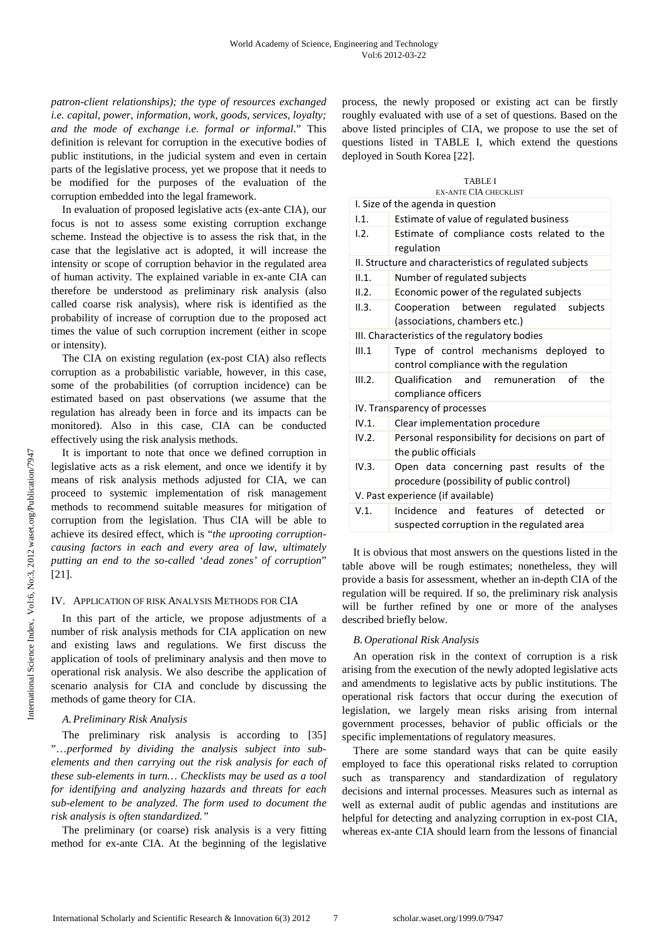*patron-client relationships); the type of resources exchanged i.e. capital, power, information, work, goods, services, loyalty; and the mode of exchange i.e. formal or informal*." This definition is relevant for corruption in the executive bodies of public institutions, in the judicial system and even in certain parts of the legislative process, yet we propose that it needs to be modified for the purposes of the evaluation of the corruption embedded into the legal framework.

In evaluation of proposed legislative acts (ex-ante CIA), our focus is not to assess some existing corruption exchange scheme. Instead the objective is to assess the risk that, in the case that the legislative act is adopted, it will increase the intensity or scope of corruption behavior in the regulated area of human activity. The explained variable in ex-ante CIA can therefore be understood as preliminary risk analysis (also called coarse risk analysis), where risk is identified as the probability of increase of corruption due to the proposed act times the value of such corruption increment (either in scope or intensity).

The CIA on existing regulation (ex-post CIA) also reflects corruption as a probabilistic variable, however, in this case, some of the probabilities (of corruption incidence) can be estimated based on past observations (we assume that the regulation has already been in force and its impacts can be monitored). Also in this case, CIA can be conducted effectively using the risk analysis methods.

It is important to note that once we defined corruption in legislative acts as a risk element, and once we identify it by means of risk analysis methods adjusted for CIA, we can proceed to systemic implementation of risk management methods to recommend suitable measures for mitigation of corruption from the legislation. Thus CIA will be able to achieve its desired effect, which is "*the uprooting corruptioncausing factors in each and every area of law, ultimately putting an end to the so-called 'dead zones' of corruption*" [21].

## IV. APPLICATION OF RISK ANALYSIS METHODS FOR CIA

In this part of the article, we propose adjustments of a number of risk analysis methods for CIA application on new and existing laws and regulations. We first discuss the application of tools of preliminary analysis and then move to operational risk analysis. We also describe the application of scenario analysis for CIA and conclude by discussing the methods of game theory for CIA.

# *A.Preliminary Risk Analysis*

The preliminary risk analysis is according to [35] "…*performed by dividing the analysis subject into subelements and then carrying out the risk analysis for each of these sub-elements in turn… Checklists may be used as a tool for identifying and analyzing hazards and threats for each sub-element to be analyzed. The form used to document the risk analysis is often standardized."* 

The preliminary (or coarse) risk analysis is a very fitting method for ex-ante CIA. At the beginning of the legislative process, the newly proposed or existing act can be firstly roughly evaluated with use of a set of questions. Based on the above listed principles of CIA, we propose to use the set of questions listed in TABLE I, which extend the questions deployed in South Korea [22].

| <b>TABLE I</b><br><b>EX-ANTE CIA CHECKLIST</b>          |                                                                                        |
|---------------------------------------------------------|----------------------------------------------------------------------------------------|
| I. Size of the agenda in question                       |                                                                                        |
| 1.1.                                                    | Estimate of value of regulated business                                                |
| 1.2.                                                    | Estimate of compliance costs related to the<br>regulation                              |
| II. Structure and characteristics of regulated subjects |                                                                                        |
| II.1.                                                   | Number of regulated subjects                                                           |
| II.2.                                                   | Economic power of the regulated subjects                                               |
| II.3.                                                   | Cooperation between regulated<br>subjects<br>(associations, chambers etc.)             |
| III. Characteristics of the regulatory bodies           |                                                                                        |
| III.1                                                   | Type of control mechanisms deployed<br>to<br>control compliance with the regulation    |
| III.2.                                                  | Qualification and remuneration<br>of<br>the<br>compliance officers                     |
| IV. Transparency of processes                           |                                                                                        |
| IV.1.                                                   | Clear implementation procedure                                                         |
| IV.2.                                                   | Personal responsibility for decisions on part of<br>the public officials               |
| IV.3.                                                   | Open data concerning past results of the<br>procedure (possibility of public control)  |
| V. Past experience (if available)                       |                                                                                        |
| $V.1$ .                                                 | Incidence and features of detected<br>or<br>suspected corruption in the regulated area |

It is obvious that most answers on the questions listed in the table above will be rough estimates; nonetheless, they will provide a basis for assessment, whether an in-depth CIA of the regulation will be required. If so, the preliminary risk analysis will be further refined by one or more of the analyses described briefly below.

# *B.Operational Risk Analysis*

An operation risk in the context of corruption is a risk arising from the execution of the newly adopted legislative acts and amendments to legislative acts by public institutions. The operational risk factors that occur during the execution of legislation, we largely mean risks arising from internal government processes, behavior of public officials or the specific implementations of regulatory measures.

There are some standard ways that can be quite easily employed to face this operational risks related to corruption such as transparency and standardization of regulatory decisions and internal processes. Measures such as internal as well as external audit of public agendas and institutions are helpful for detecting and analyzing corruption in ex-post CIA, whereas ex-ante CIA should learn from the lessons of financial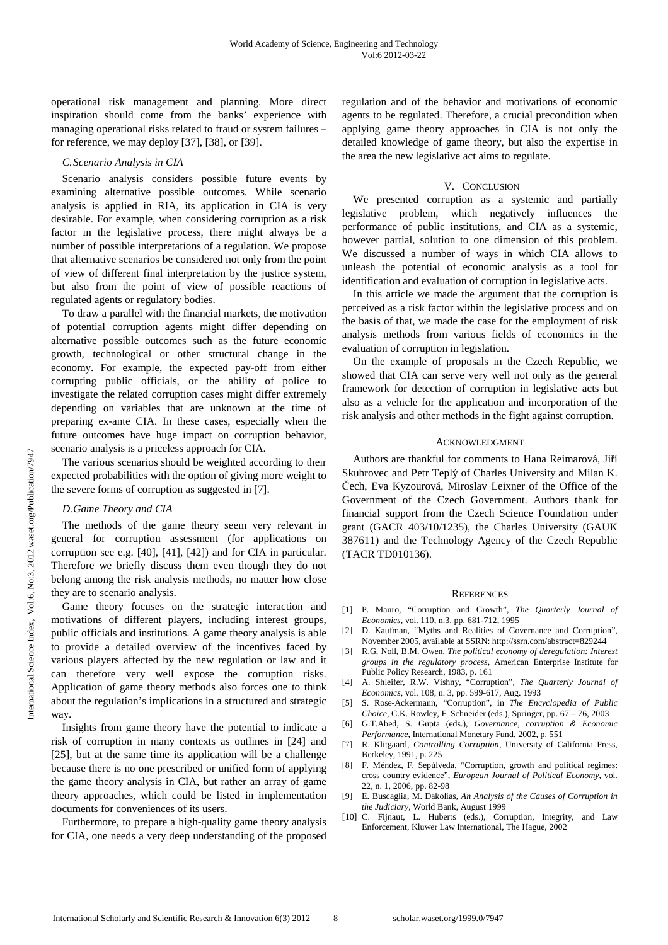operational risk management and planning. More direct inspiration should come from the banks' experience with managing operational risks related to fraud or system failures – for reference, we may deploy [37], [38], or [39].

## *C.Scenario Analysis in CIA*

Scenario analysis considers possible future events by examining alternative possible outcomes. While scenario analysis is applied in RIA, its application in CIA is very desirable. For example, when considering corruption as a risk factor in the legislative process, there might always be a number of possible interpretations of a regulation. We propose that alternative scenarios be considered not only from the point of view of different final interpretation by the justice system, but also from the point of view of possible reactions of regulated agents or regulatory bodies.

To draw a parallel with the financial markets, the motivation of potential corruption agents might differ depending on alternative possible outcomes such as the future economic growth, technological or other structural change in the economy. For example, the expected pay-off from either corrupting public officials, or the ability of police to investigate the related corruption cases might differ extremely depending on variables that are unknown at the time of preparing ex-ante CIA. In these cases, especially when the future outcomes have huge impact on corruption behavior, scenario analysis is a priceless approach for CIA.

The various scenarios should be weighted according to their expected probabilities with the option of giving more weight to the severe forms of corruption as suggested in [7].

## *D.Game Theory and CIA*

The methods of the game theory seem very relevant in general for corruption assessment (for applications on corruption see e.g. [40], [41], [42]) and for CIA in particular. Therefore we briefly discuss them even though they do not belong among the risk analysis methods, no matter how close they are to scenario analysis.

Game theory focuses on the strategic interaction and motivations of different players, including interest groups, public officials and institutions. A game theory analysis is able to provide a detailed overview of the incentives faced by various players affected by the new regulation or law and it can therefore very well expose the corruption risks. Application of game theory methods also forces one to think about the regulation's implications in a structured and strategic way.

Insights from game theory have the potential to indicate a risk of corruption in many contexts as outlines in [24] and [25], but at the same time its application will be a challenge because there is no one prescribed or unified form of applying the game theory analysis in CIA, but rather an array of game theory approaches, which could be listed in implementation documents for conveniences of its users.

Furthermore, to prepare a high-quality game theory analysis for CIA, one needs a very deep understanding of the proposed regulation and of the behavior and motivations of economic agents to be regulated. Therefore, a crucial precondition when applying game theory approaches in CIA is not only the detailed knowledge of game theory, but also the expertise in the area the new legislative act aims to regulate.

## V. CONCLUSION

We presented corruption as a systemic and partially legislative problem, which negatively influences the performance of public institutions, and CIA as a systemic, however partial, solution to one dimension of this problem. We discussed a number of ways in which CIA allows to unleash the potential of economic analysis as a tool for identification and evaluation of corruption in legislative acts.

In this article we made the argument that the corruption is perceived as a risk factor within the legislative process and on the basis of that, we made the case for the employment of risk analysis methods from various fields of economics in the evaluation of corruption in legislation.

On the example of proposals in the Czech Republic, we showed that CIA can serve very well not only as the general framework for detection of corruption in legislative acts but also as a vehicle for the application and incorporation of the risk analysis and other methods in the fight against corruption.

## ACKNOWLEDGMENT

Authors are thankful for comments to Hana Reimarová, Jiří Skuhrovec and Petr Teplý of Charles University and Milan K. Čech, Eva Kyzourová, Miroslav Leixner of the Office of the Government of the Czech Government. Authors thank for financial support from the Czech Science Foundation under grant (GACR 403/10/1235), the Charles University (GAUK 387611) and the Technology Agency of the Czech Republic (TACR TD010136).

## **REFERENCES**

- [1] P. Mauro, "Corruption and Growth", *The Quarterly Journal of Economics*, vol. 110, n.3, pp. 681-712, 1995
- [2] D. Kaufman, "Myths and Realities of Governance and Corruption", November 2005, available at SSRN: http://ssrn.com/abstract=829244
- [3] R.G. Noll, B.M. Owen, *The political economy of deregulation: Interest groups in the regulatory process*, American Enterprise Institute for Public Policy Research, 1983, p. 161
- [4] A. Shleifer, R.W. Vishny, "Corruption", *The Quarterly Journal of Economics,* vol. 108, n. 3, pp. 599-617, Aug. 1993
- [5] S. Rose-Ackermann, "Corruption", in *The Encyclopedia of Public Choice*, C.K. Rowley, F. Schneider (eds.), Springer, pp. 67 – 76, 2003
- [6] G.T.Abed, S. Gupta (eds.), *Governance, corruption* & *Economic Performance*, International Monetary Fund, 2002, p. 551
- [7] R. Klitgaard, *Controlling Corruption*, University of California Press, Berkeley, 1991, p. 225
- [8] F. Méndez, F. Sepúlveda, "Corruption, growth and political regimes: cross country evidence", *European Journal of Political Economy*, vol. 22, n. 1, 2006, pp. 82-98
- [9] E. Buscaglia, M. Dakolias, *An Analysis of the Causes of Corruption in the Judiciary*, World Bank, August 1999
- [10] C. Fijnaut, L. Huberts (eds.), Corruption, Integrity, and Law Enforcement, Kluwer Law International, The Hague, 2002